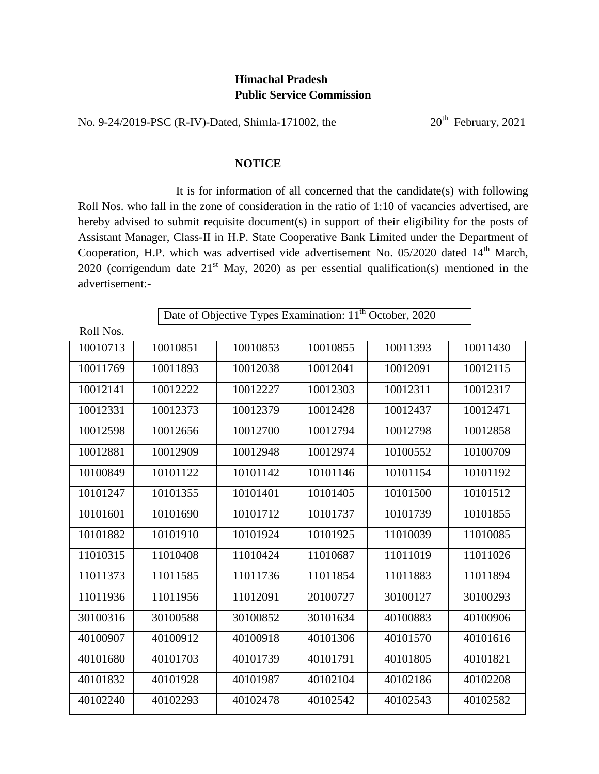## **Himachal Pradesh Public Service Commission**

No. 9-24/2019-PSC (R-IV)-Dated, Shimla-171002, the 20<sup>th</sup> February, 2021

## **NOTICE**

It is for information of all concerned that the candidate(s) with following Roll Nos. who fall in the zone of consideration in the ratio of 1:10 of vacancies advertised, are hereby advised to submit requisite document(s) in support of their eligibility for the posts of Assistant Manager, Class-II in H.P. State Cooperative Bank Limited under the Department of Cooperation, H.P. which was advertised vide advertisement No.  $05/2020$  dated  $14<sup>th</sup>$  March, 2020 (corrigendum date  $21<sup>st</sup>$  May, 2020) as per essential qualification(s) mentioned in the advertisement:-

| Date of Objective Types Examination: 11 <sup>th</sup> October, 2020 |          |          |          |          |          |  |  |
|---------------------------------------------------------------------|----------|----------|----------|----------|----------|--|--|
| Roll Nos.                                                           |          |          |          |          |          |  |  |
| 10010713                                                            | 10010851 | 10010853 | 10010855 | 10011393 | 10011430 |  |  |
| 10011769                                                            | 10011893 | 10012038 | 10012041 | 10012091 | 10012115 |  |  |
| 10012141                                                            | 10012222 | 10012227 | 10012303 | 10012311 | 10012317 |  |  |
| 10012331                                                            | 10012373 | 10012379 | 10012428 | 10012437 | 10012471 |  |  |
| 10012598                                                            | 10012656 | 10012700 | 10012794 | 10012798 | 10012858 |  |  |
| 10012881                                                            | 10012909 | 10012948 | 10012974 | 10100552 | 10100709 |  |  |
| 10100849                                                            | 10101122 | 10101142 | 10101146 | 10101154 | 10101192 |  |  |
| 10101247                                                            | 10101355 | 10101401 | 10101405 | 10101500 | 10101512 |  |  |
| 10101601                                                            | 10101690 | 10101712 | 10101737 | 10101739 | 10101855 |  |  |
| 10101882                                                            | 10101910 | 10101924 | 10101925 | 11010039 | 11010085 |  |  |
| 11010315                                                            | 11010408 | 11010424 | 11010687 | 11011019 | 11011026 |  |  |
| 11011373                                                            | 11011585 | 11011736 | 11011854 | 11011883 | 11011894 |  |  |
| 11011936                                                            | 11011956 | 11012091 | 20100727 | 30100127 | 30100293 |  |  |
| 30100316                                                            | 30100588 | 30100852 | 30101634 | 40100883 | 40100906 |  |  |
| 40100907                                                            | 40100912 | 40100918 | 40101306 | 40101570 | 40101616 |  |  |
| 40101680                                                            | 40101703 | 40101739 | 40101791 | 40101805 | 40101821 |  |  |
| 40101832                                                            | 40101928 | 40101987 | 40102104 | 40102186 | 40102208 |  |  |
| 40102240                                                            | 40102293 | 40102478 | 40102542 | 40102543 | 40102582 |  |  |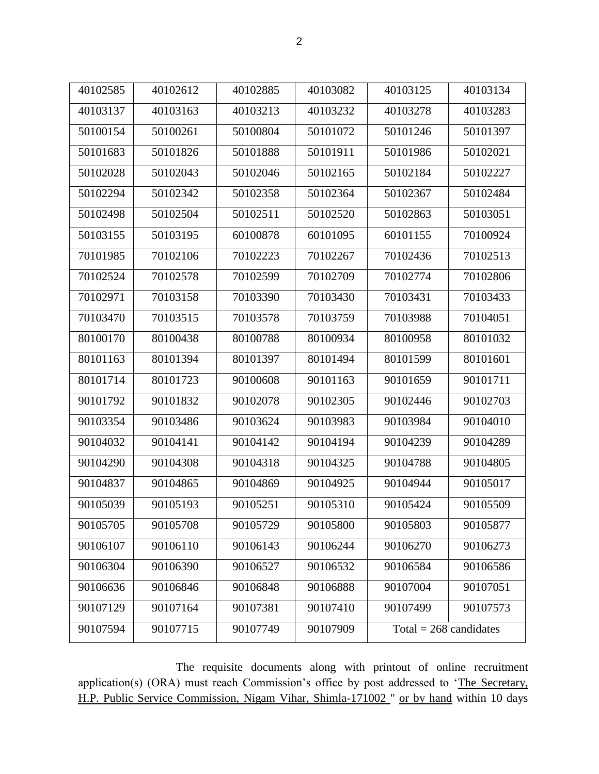| ۰.<br>I  |
|----------|
| ł<br>. . |
|          |

| 40102585 | 40102612 | 40102885 | 40103082 | 40103125                 | 40103134 |
|----------|----------|----------|----------|--------------------------|----------|
| 40103137 | 40103163 | 40103213 | 40103232 | 40103278                 | 40103283 |
| 50100154 | 50100261 | 50100804 | 50101072 | 50101246                 | 50101397 |
| 50101683 | 50101826 | 50101888 | 50101911 | 50101986                 | 50102021 |
| 50102028 | 50102043 | 50102046 | 50102165 | 50102184                 | 50102227 |
| 50102294 | 50102342 | 50102358 | 50102364 | 50102367                 | 50102484 |
| 50102498 | 50102504 | 50102511 | 50102520 | 50102863                 | 50103051 |
| 50103155 | 50103195 | 60100878 | 60101095 | 60101155                 | 70100924 |
| 70101985 | 70102106 | 70102223 | 70102267 | 70102436                 | 70102513 |
| 70102524 | 70102578 | 70102599 | 70102709 | 70102774                 | 70102806 |
| 70102971 | 70103158 | 70103390 | 70103430 | 70103431                 | 70103433 |
| 70103470 | 70103515 | 70103578 | 70103759 | 70103988                 | 70104051 |
| 80100170 | 80100438 | 80100788 | 80100934 | 80100958                 | 80101032 |
| 80101163 | 80101394 | 80101397 | 80101494 | 80101599                 | 80101601 |
| 80101714 | 80101723 | 90100608 | 90101163 | 90101659                 | 90101711 |
| 90101792 | 90101832 | 90102078 | 90102305 | 90102446                 | 90102703 |
| 90103354 | 90103486 | 90103624 | 90103983 | 90103984                 | 90104010 |
| 90104032 | 90104141 | 90104142 | 90104194 | 90104239                 | 90104289 |
| 90104290 | 90104308 | 90104318 | 90104325 | 90104788                 | 90104805 |
| 90104837 | 90104865 | 90104869 | 90104925 | 90104944                 | 90105017 |
| 90105039 | 90105193 | 90105251 | 90105310 | 90105424                 | 90105509 |
| 90105705 | 90105708 | 90105729 | 90105800 | 90105803                 | 90105877 |
| 90106107 | 90106110 | 90106143 | 90106244 | 90106270                 | 90106273 |
| 90106304 | 90106390 | 90106527 | 90106532 | 90106584                 | 90106586 |
| 90106636 | 90106846 | 90106848 | 90106888 | 90107004                 | 90107051 |
| 90107129 | 90107164 | 90107381 | 90107410 | 90107499                 | 90107573 |
| 90107594 | 90107715 | 90107749 | 90107909 | Total = $268$ candidates |          |
|          |          |          |          |                          |          |

The requisite documents along with printout of online recruitment application(s) (ORA) must reach Commission's office by post addressed to 'The Secretary, H.P. Public Service Commission, Nigam Vihar, Shimla-171002 " or by hand within 10 days